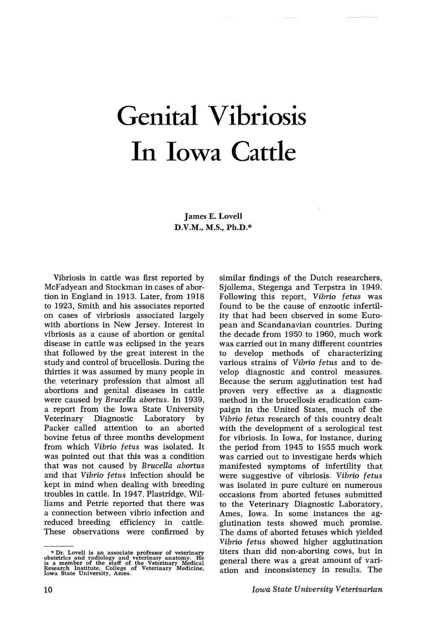# Genital Vibriosis In Iowa Cattle

James E. Lovell D.V.M., M.S., Ph.D.\*

Vibriosis in cattle was first reported by McFadyean and Stockman in cases of abortion in England in 1913. Later, from 1918 to 1923, Smith and his associates reported on cases of virbriosis associated largely with abortions in New Jersey. Interest in vibriosis as a cause of abortion or genital disease in cattle was eclipsed in the years that followed by the great interest in the study and control of brucellosis. During the thirties it was assumed by many people in the veterinary profession that almost all abortions and genital diseases in cattle were caused by *Brucella abortus*. In 1939, a report from the Iowa State University Diagnostic Packer called attention to an aborted bovine fetus of three months development from which *Vibrio fetus* was isolated. It was pointed out that this was a condition that was not caused by *Brucella abortus* and that *Vibrio fetus* infection should be kept in mind when dealing with breeding troubles in cattle. In 1947, Plastridge, Williams and Petrie reported that there was a connection between vibrio infection and reduced breeding efficiency in cattle. These observations were confirmed by

\* Dr. Lovell is an associate professor of veterinary<br>obstetrics and radiology and veterinary anatomy. He<br>is a member of the staff of the Veterinary Medical<br>Research Institute, College of Veterinary Medicine,<br>Iowa State Uni

similar findings of the Dutch researchers, Sjollema, Stegenga and Terpstra in 1949. Following this report, *Vibrio fetus* was found to be the cause of enzootic infertility that had been observed in some European and Scandanavian countries. During the decade from 1950 to 1960, much work was carried out in many different countries to develop methods of characterizing various strains of *Vibrio fetus* and to develop diagnostic and control measures. Because the serum agglutination test had proven very effective as a diagnostic method in the brucellosis eradication campaign in the United States, much of the Vibrio fetus research of this country dealt with the development of a serological test for vibriosis. In Iowa, for instance, during the period from 1945 to 1955 much work was carried out to investigate herds which manifested symptoms of infertility that were suggestive of vibriosis. *Vibrio fetus* was isolated in pure culture on numerous occasions from aborted fetuses submitted to the Veterinary Diagnostic Laboratory, Ames, Iowa. In some instances the agglutination tests showed much promise. The dams of aborted fetuses which yielded *Vibrio fetus* showed higher agglutination titers than did non-aborting cows, but in general there was a great amount of variation and inconsistency in results. The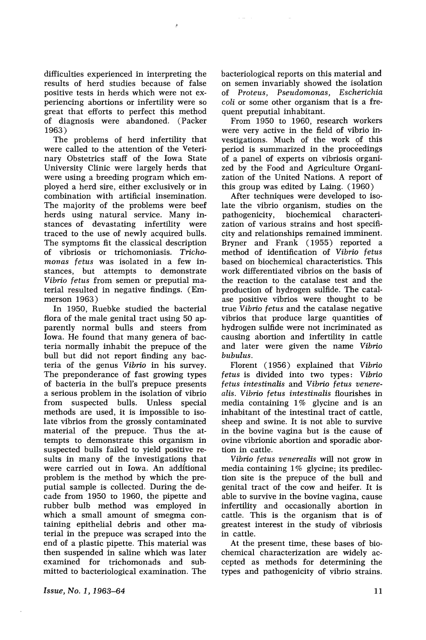difficulties experienced in interpreting the results of herd studies because of false positive tests in herds which were not experiencing abortions or infertility were so great that efforts to perfect this method of diagnosis were abandoned. (Packer 1963)

 $\hat{J}$ 

The problems of herd infertility that were called to the attention of the Veterinary Obstetrics staff of the Iowa State University Clinic were largely herds that were using a breeding program which employed a herd sire, either exclusively or in combination with artificial insemination. The majority of the problems were beef herds using natural service. Many instances of devastating infertility were traced to the use of newly acquired bulls. The symptoms fit the classical description of vibriosis or trichomoniasis. *Trichomonas fetus* was isolated in a few instances, but attempts to demonstrate *Vibrio fetus* from semen or preputial material resulted in negative findings. (Emmerson 1963)

In 1950, Ruebke studied the bacterial flora of the male genital tract using 50 apparently normal bulls and steers from Iowa. He found that many genera of bacteria normally inhabit the prepuce of the bull but did not report finding any bacteria of the genus *Vibrio* in his survey. The preponderance of fast growing types of bacteria in the bull's prepuce presents a serious problem in the isolation of vibrio from suspected bulls. Unless special methods are used, it is impossible to isolate vibrios from the grossly contaminated material of the prepuce. Thus the attempts to demonstrate this organism in suspected bulls failed to yield positive results in many of the investigations that were carried out in Iowa. An additional problem is the method by which the preputial sample is collected. During the decade from 1950 to 1960, the pipette and rubber bulb method was employed in which a small amount of smegma containing epithelial debris and other material in the prepuce was scraped into the end of a plastic pipette. This material was then suspended in saline which was later examined for trichomonads and submitted to bacteriological examination. The bacteriological reports on this material and on semen invariably showed the isolation of *Proteus, Pseudomonas, Escherichia coli* or some other organism that is a frequent preputial inhabitant.

From 1950 to 1960, research workers were very active in the field of vibrio investigations. Much of the work of this period is summarized in the proceedings of a panel of experts on vibriosis organized by the Food and Agriculture Organization of the United Nations. A report of this group was edited by Laing. (1960)

After techniques were developed to isolate the vibrio organism, studies on the pathogenicity, biochemical characterization of various strains and host specificity and relationships remained imminent. Bryner and Frank ( 1955) reported a method of identification of *Vibrio fetus* based on biochemical characteristics. This work differentiated vibrios on the basis of the reaction to the catalase test and the production of hydrogen sulfide. The catalase positive vibrios were thought to be true *Vibrio fetus* and the catalase negative vibrios that produce large quantities of hydrogen sulfide were not incriminated as causing abortion and infertility in cattle and later were given the name *Vibrio bubulus.*

Florent (1956) explained that *Vibrio fetus* is divided into two types: *Vibrio fetus intestinalis* and *Vibrio fetus venerealis*. *Vibrio fetus intestinalis* flourishes in media containing 1% glycine and is an inhabitant of the intestinal tract of cattle, sheep and swine. It is not able to survive in the bovine vagina but is the cause of ovine vibrionic abortion and sporadic abortion in cattle.

*Vibrio fetus venerealis* will not grow in media containing 1% glycine; its predilection site is the prepuce of the bull and genital tract of the cow and heifer. It is able to survive in the bovine vagina, cause infertility and occasionally abortion in cattle. This is the organism that is of greatest interest in the study of vibriosis in cattle.

At the present time, these bases of biochemical characterization are widely accepted as methods for determining the types and pathogenicity of vibrio strains.

*Issue,* No.1, 1963-64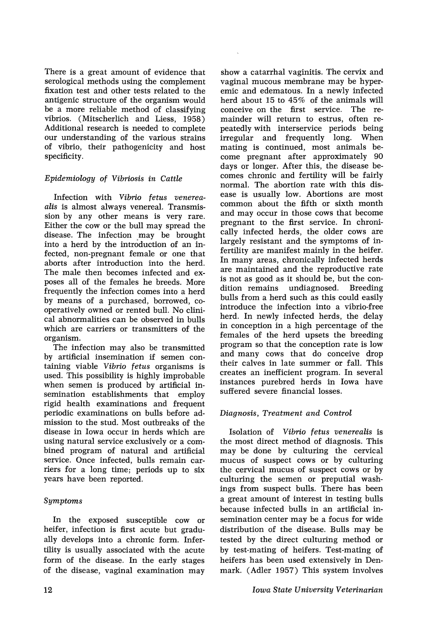There is a great amount of evidence that serological methods using the complement fixation test and other tests related to the antigenic structure of the organism would be a more reliable method of classifying vibrios. (Mitscherlich and Liess, 1958) Additional research is needed to complete our understanding of the various strains of vibrio, their pathogenicity and host specificity.

# *Epidemiology* of *Vibriosis in Cattle*

Infection with *Vibrio fetus venereaalis* is almost always venereal. Transmission by any other means is very rare. Either the cow or the bull may spread the disease. The infection may be brought into a herd by the introduction of an infected, non-pregnant female or one that aborts after introduction into the herd. The male then becomes infected and exposes all of the females he breeds. More frequently the infection comes into a herd by means of a purchased, borrowed, cooperatively owned or rented bull. No clinical abnormalities can be observed in bulls which are carriers or transmitters of the organism.

The infection may also be transmitted by artificial insemination if semen containing viable *Vibrio fetus* organisms is used. This possibility is highly improbable when semen is produced by artificial insemination establishments that employ rigid health examinations and frequent periodic examinations on bulls before admission to the stud. Most outbreaks of the disease in Iowa occur in herds which are using natural service exclusively or a combined program of natural and artificial service. Once infected, bulls remain carriers for a long time; periods up to six years have been reported.

## *SymptomB*

In the exposed susceptible cow or heifer, infection is first acute but gradually develops into a chronic form. Infertility is usually associated with the acute form of the disease. In the early stages of the disease, vaginal examination may

show a catarrhal vaginitis. The cervix and vaginal mucous membrane may be hyperemic and edematous. In a newly infected herd about 15 to 45% of the animals will conceive on the first service. The remainder will return to estrus, often repeatedly with interservice periods being irregular and frequently long. When mating is continued, most animals become pregnant after approximately 90 days or longer. After this, the disease becomes chronic and fertility will be fairly normal. The abortion rate with this disease is usually low. Abortions are most common about the fifth or sixth month and may occur in those cows that become pregnant to the first service. In chronically infected herds, the older cows are largely resistant and the symptoms of infertility are manifest mainly in the heifer. In many areas, chronically infected herds are maintained and the reproductive rate is not as good as it should be, but the condition remains undiagnosed. Breeding dition remains undiagnosed. Breeding bulls from a herd such as this could easily introduce the infection into a vibrio-free herd. In newly infected herds, the delay in conception in a high percentage of the females of the herd upsets the breeding program so that the conception rate is low and many cows that do conceive drop their calves in late summer or fall. This creates an inefficient program. In several instances purebred herds in Iowa have suffered severe financial losses.

## *Diagnosis, Treatment and Control*

Isolation of *Vibrio fetus venerealis* is the most direct method of diagnosis. This may be done by culturing the cervical mucus of suspect cows or by culturing the cervical mucus of suspect cows or by culturing the semen or preputial washings from suspect bulls. There has been a great amount of interest in testing bulls because infected bulls in an artificial insemination center may be a focus for wide distribution of the disease. Bulls may be tested by the direct culturing method or by test-mating of heifers. Test-mating of heifers has been used extensively in Denmark. (Adler 1957) This system involves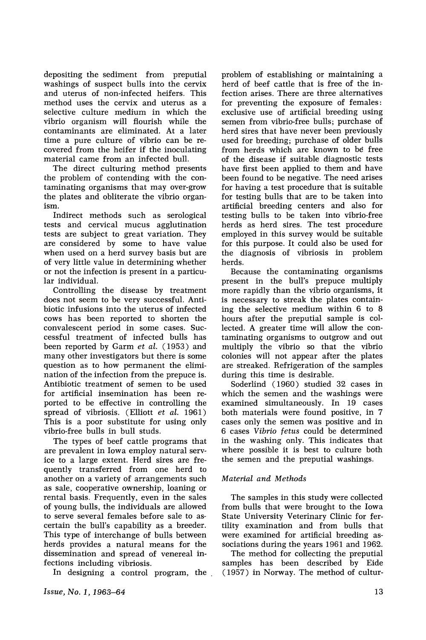depositing the sediment from preputial washings of suspect bulls into the cervix and uterus of non-infected heifers. This method uses the cervix and uterus as a selective culture medium in which the vibrio organism will flourish while the contaminants are eliminated. At a later time a pure culture of vibrio can be recovered from the heifer if the inoculating material came from an infected bull.

The direct culturing method presents the problem of contending with the contaminating organisms that may over-grow the plates and obliterate the vibrio organism.

Indirect methods such as serological tests and cervical mucus agglutination tests are subject to great variation. They are considered by some to have value when used on a herd survey basis but are of very little value in determining whether or not the infection is present in a particular individual.

Controlling the disease by treatment does not seem to be very successful. Antibiotic infusions into the uterus of infected cows has been reported to shorten the convalescent period in some cases. Successful treatment of infected bulls has been reported by Garm *et al.* (1953) and many other investigators but there is some question as to how permanent the elimination of the infection from the prepuce is. Antibiotic treatment of semen to be used for artificial insemination has been reported to be effective in controlling the spread of vibriosis. (Elliott *et al.* 1961) This is a poor substitute for using only vibrio-free bulls in bull studs.

The types of beef cattle programs that are prevalent in Iowa employ natural service to a large extent. Herd sires are frequently transferred from one herd to another on a variety of arrangements such as sale, cooperative ownership, loaning or rental basis. Frequently, even in the sales of young bulls, the individuals are allowed to serve several females before sale to ascertain the bull's capability as a breeder. This type of interchange of bulls between herds provides a natural means for the dissemination and spread of venereal infections including vibriosis.

In designing a control program, the .

*Issue, No.1, 1963-64*

problem of establishing or maintaining a herd of beef cattle that is free of the infection arises. There are three alternatives for preventing the exposure of females: exclusive use of artificial breeding using semen from vibrio-free bulls; purchase of herd sires that have never been previously used for breeding; purchase of older bulls from herds which are known to be free of the disease if suitable diagnostic tests have first been applied to them and have been found to be negative. The need arises for having a test procedure that is suitable for testing bulls that are to be taken into artificial breeding centers and also for testing bulls to be taken into vibrio-free herds as herd sires. The test procedure employed in this survey would be suitable for this purpose. It could also be used for the diagnosis of vibriosis in problem herds.

Because the contaminating organisms present in the bull's prepuce multiply more rapidly than the vibrio organisms, it is necessary to streak the plates containing the selective medium within 6 to 8 hours after the preputial sample is collected. A greater time will allow the contaminating organisms to outgrow and out multiply the vibrio so that the vibrio colonies will not appear after the plates are streaked. Refrigeration of the samples during this time is desirable.

Soderlind (1960) studied 32 cases in which the semen and the washings were examined simultaneously. In 19 cases both materials were found positive, in 7 cases only the semen was positive and in 6 cases *Vibrio fetus* could be determined in the washing only. This indicates that where possible it is best to culture both the semen and the preputial washings.

## *Material and Methods*

The samples in this study were collected from bulls that were brought to the Iowa State University Veterinary Clinic for fertility examination and from bulls that were examined for artificial breeding associations during the years 1961 and 1962.

The method for collecting the preputial samples has been described by Eide (1957) in Norway. The method of cultur-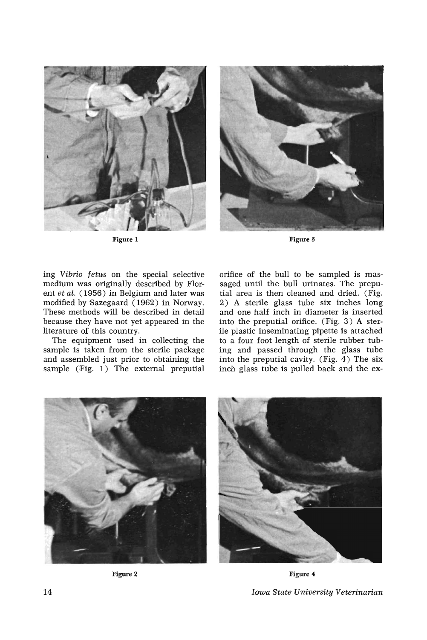

Figure 1



Figure 3

ing Vibrio fetus on the special selective medium was originally described by Florent *et al.* (1956) in Belgium and later was modified by Sazegaard (1962) in Norway. These methods will be described in detail because they have not yet appeared in the literature of this country.

The equipment used in collecting the sample is taken from the sterile package and assembled just prior to obtaining the sample (Fig. 1) The external preputial orifice of the bull to be sampled is massaged until the bull urinates. The preputial area is then cleaned and dried. (Fig. 2) A sterile glass tube six inches long and one half inch in diameter is inserted into the preputial orifice. (Fig. 3) A sterile plastic inseminating pipette is attached to a four foot length of sterile rubber tubing and passed through the glass tube into the preputial cavity. (Fig. 4) The six inch glass tube is pulled back and the ex-



Figure 2

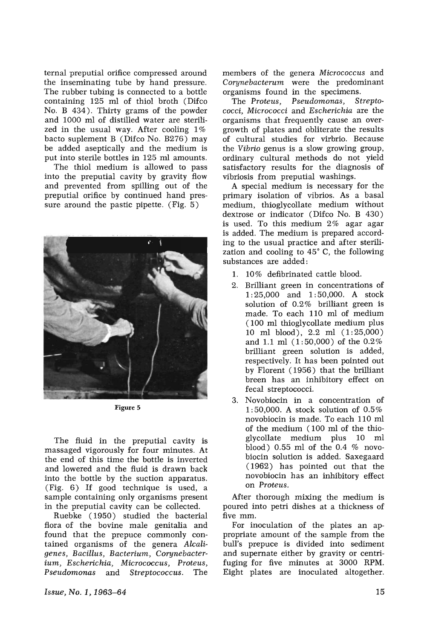ternal preputial orifice compressed around the inseminating tube by hand pressure. The rubber tubing is connected to a bottle containing 125 ml of thiol broth (Difco No. B 434). Thirty grams of the powder and 1000 ml of distilled water are sterilized in the usual way. After cooling 1% bacto suplement B (Difco No. B276) may be added aseptically and the medium is put into sterile bottles in 125 ml amounts.

The thiol medium is allowed to pass into the preputial cavity by gravity flow and prevented from spilling out of the preputial orifice by continued hand pressure around the pastic pipette. (Fig. 5)



Figure 5

The fluid in the preputial cavity is massaged vigorously for four minutes. At the end of this time the bottle is inverted and lowered and the fluid is drawn back into the bottle by the suction apparatus. (Fig. 6) If good technique is used, a sample containing only organisms present in the preputial cavity can be collected.

Ruebke (1950) studied the bacterial flora of the bovine male genitalia and found that the prepuce commonly contained organisms of the genera *Alcaligenes, Bacillus, Bacterium, Corynebacterium, Escherichia, Micrococcus, Proteus, Pseudomonas* and *Streptococcus.* The members of the genera *Micrococcus* and *Corynebacterum* were the predominant organisms found in the specimens.

The *Proteus, Pseudomonas, Streptococci, Micrococci* and *Escherichia* are the organisms that frequently cause an overgrowth of plates and obliterate the results of cultural studies for virbrio. Because the *Vibrio* genus is a slow growing group, ordinary cultural methods do not yield satisfactory results for the diagnosis of vibriosis from preputial washings.

A special medium is necessary for the primary isolation of vibrios. As a basal medium, thioglycollate medium without dextrose or indicator (Difco No. B 430) is used. To this medium 2% agar agar is added. The medium is prepared according to the usual practice and after sterilization and cooling to 45° C, the following substances are added:

- 1. 10% defibrinated cattle blood.
- 2. Brilliant green in concentrations of 1: 25,000 and 1: 50,000. A stock solution of 0.2% brilliant green is made. To each 110 ml of medium (100 ml thioglycollate medium plus 10 ml blood), 2.2 ml (1:25,000) and 1.1 ml (1: 50,000) of the 0.2% brilliant green solution is added, respectively. It has been pointed out by Florent (1956) that the brilliant breen has an inhibitory effect on fecal streptococci.
- 3. Novobiocin in a concentration of 1: 50,000. A stock solution of 0.5% novobiocin is made. To each 110 ml of the medium (100 ml of the thioglycollate medium plus 10 ml blood) 0.55 ml of the 0.4 % novobiocin solution is added. Saxegaard (1962) has pointed out that the novobiocin has an inhibitory effect on *Proteus.*

After thorough mixing the medium is poured into petri dishes at a thickness of five mm.

For inoculation of the plates an appropriate amount of the sample from the bull's prepuce is divided into sediment and supernate either by gravity or centrifuging for five minutes at 3000 RPM. Eight plates are inoculated altogether.

*Issue, No.1, 1963-64*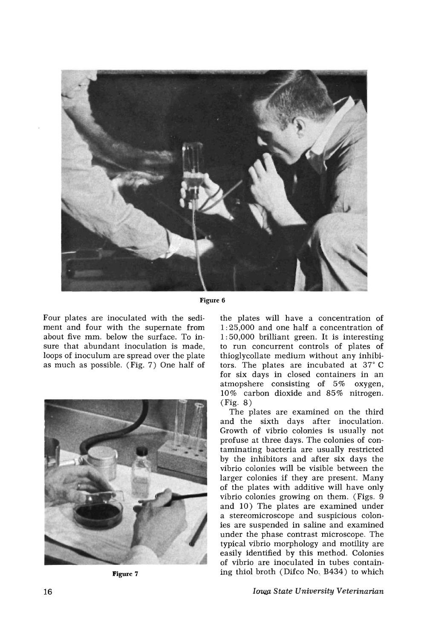

**Figure 6**

Four plates are inoculated with the sediment and four with the supernate from about five mm. below the surface. To insure that abundant inoculation is made, loops of inoculum are spread over the plate as much as possible. (Fig. 7) One half of



**Figure 7**

the plates will have a concentration of 1: 25,000 and one half a concentration of 1: 50,000 brilliant green. It is interesting to run concurrent controls of plates of thioglycollate medium without any inhibitors. The plates are incubated at 37° C for six days in closed containers in an atmopshere consisting of 5% oxygen, 10% carbon dioxide and 85% nitrogen. (Fig. 8)

The plates are examined on the third and the sixth days after inoculation. Growth of vibrio colonies is usually not profuse at three days. The colonies of contaminating bacteria are usually restricted by the inhibitors and after six days the vibrio colonies will be visible between the larger colonies if they are present. Many of the plates with additive will have only vibrio colonies growing on them. (Figs. 9 and 10) The plates are examined under a stereomicroscope and suspicious colonies are suspended in saline and examined under the phase contrast microscope. The typical vibrio morphology and motility are easily identified by this method. Colonies of vibrio are inoculated in tubes containing thiol broth (Difco No. B434) to which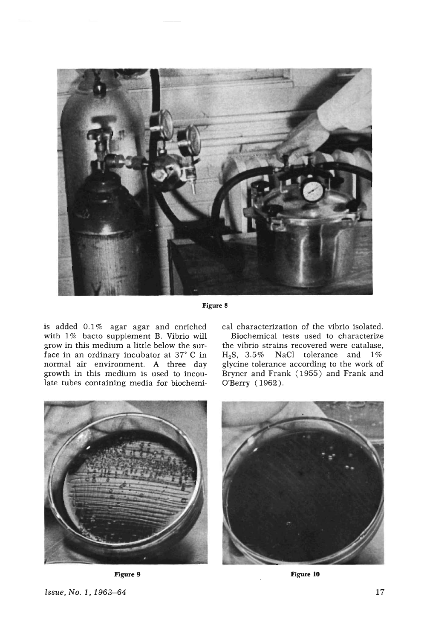

Figure 8

is added 0.1% agar agar and enriched with 1% bacto supplement B. Vibrio will grow in this medium a little below the surface in an ordinary incubator at 37° C in normal air environment. A three day growth in this medium is used to incoulate tubes containing media for biochemical characterization of the vibrio isolated.

Biochemical tests used to characterize the vibrio strains recovered were catalase, *HzS,* 3.5% NaCI tolerance and 1% glycine tolerance according to the work of Bryner and Frank (1955) and Frank and O'Berry (1962).



Figure 9



**Figure 10**

*Issue, No.1, 1963-64*